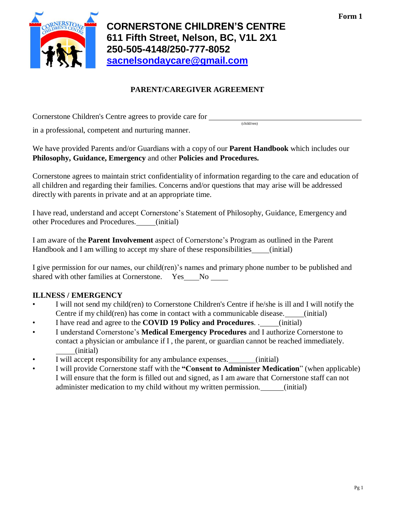**Form 1**



# **PARENT/CAREGIVER AGREEMENT**

(child/ren)

Cornerstone Children's Centre agrees to provide care for

in a professional, competent and nurturing manner.

We have provided Parents and/or Guardians with a copy of our **Parent Handbook** which includes our **Philosophy, Guidance, Emergency** and other **Policies and Procedures.**

Cornerstone agrees to maintain strict confidentiality of information regarding to the care and education of all children and regarding their families. Concerns and/or questions that may arise will be addressed directly with parents in private and at an appropriate time.

I have read, understand and accept Cornerstone's Statement of Philosophy, Guidance, Emergency and other Procedures and Procedures. (initial)

I am aware of the **Parent Involvement** aspect of Cornerstone's Program as outlined in the Parent Handbook and I am willing to accept my share of these responsibilities (initial)

I give permission for our names, our child(ren)'s names and primary phone number to be published and shared with other families at Cornerstone. Yes No

# **ILLNESS / EMERGENCY**

- I will not send my child(ren) to Cornerstone Children's Centre if he/she is ill and I will notify the Centre if my child(ren) has come in contact with a communicable disease. (initial)
- I have read and agree to the **COVID 19 Policy and Procedures**. . (initial)
- I understand Cornerstone's **Medical Emergency Procedures** and I authorize Cornerstone to contact a physician or ambulance if I , the parent, or guardian cannot be reached immediately. (initial)
- I will accept responsibility for any ambulance expenses. (initial)
- I will provide Cornerstone staff with the **"Consent to Administer Medication**" (when applicable) I will ensure that the form is filled out and signed, as I am aware that Cornerstone staff can not administer medication to my child without my written permission. (initial)